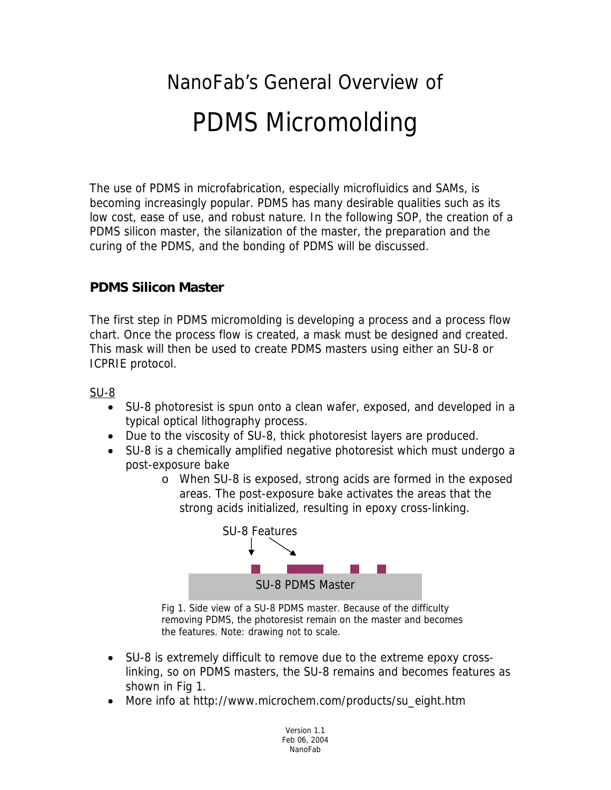# NanoFab's General Overview of PDMS Micromolding

The use of PDMS in microfabrication, especially microfluidics and SAMs, is becoming increasingly popular. PDMS has many desirable qualities such as its low cost, ease of use, and robust nature. In the following SOP, the creation of a PDMS silicon master, the silanization of the master, the preparation and the curing of the PDMS, and the bonding of PDMS will be discussed.

#### **PDMS Silicon Master**

The first step in PDMS micromolding is developing a process and a process flow chart. Once the process flow is created, a mask must be designed and created. This mask will then be used to create PDMS masters using either an SU-8 or ICPRIE protocol.

SU-8

- SU-8 photoresist is spun onto a clean wafer, exposed, and developed in a typical optical lithography process.
- Due to the viscosity of SU-8, thick photoresist layers are produced.
- SU-8 is a chemically amplified negative photoresist which must undergo a post-exposure bake
	- o When SU-8 is exposed, strong acids are formed in the exposed areas. The post-exposure bake activates the areas that the strong acids initialized, resulting in epoxy cross-linking.



Fig 1. Side view of a SU-8 PDMS master. Because of the difficulty removing PDMS, the photoresist remain on the master and becomes the features. Note: drawing not to scale.

- SU-8 is extremely difficult to remove due to the extreme epoxy crosslinking, so on PDMS masters, the SU-8 remains and becomes features as shown in Fig 1.
- More info at http://www.microchem.com/products/su\_eight.htm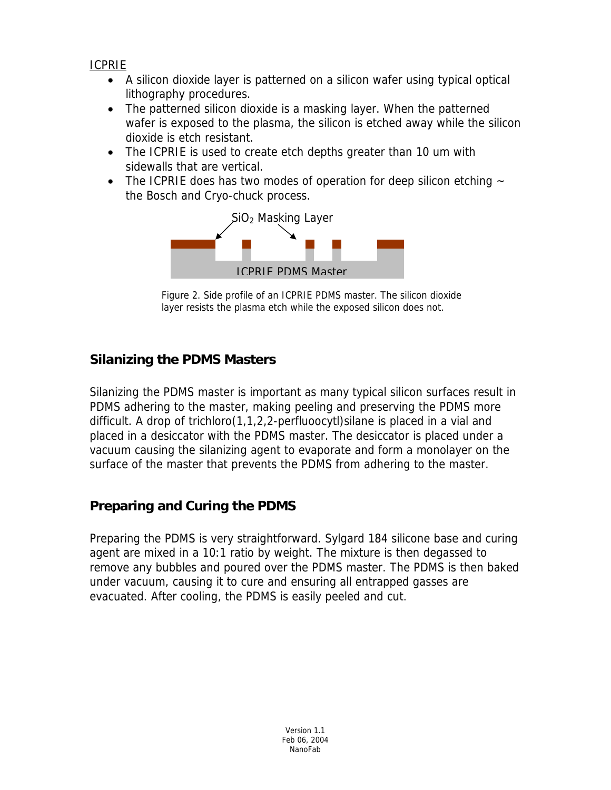ICPRIE

- A silicon dioxide layer is patterned on a silicon wafer using typical optical lithography procedures.
- The patterned silicon dioxide is a masking layer. When the patterned wafer is exposed to the plasma, the silicon is etched away while the silicon dioxide is etch resistant.
- The ICPRIE is used to create etch depths greater than 10 um with sidewalls that are vertical.
- The ICPRIE does has two modes of operation for deep silicon etching  $\sim$ the Bosch and Cryo-chuck process.



Figure 2. Side profile of an ICPRIE PDMS master. The silicon dioxide layer resists the plasma etch while the exposed silicon does not.

# **Silanizing the PDMS Masters**

Silanizing the PDMS master is important as many typical silicon surfaces result in PDMS adhering to the master, making peeling and preserving the PDMS more difficult. A drop of trichloro(1,1,2,2-perfluoocytl)silane is placed in a vial and placed in a desiccator with the PDMS master. The desiccator is placed under a vacuum causing the silanizing agent to evaporate and form a monolayer on the surface of the master that prevents the PDMS from adhering to the master.

# **Preparing and Curing the PDMS**

Preparing the PDMS is very straightforward. Sylgard 184 silicone base and curing agent are mixed in a 10:1 ratio by weight. The mixture is then degassed to remove any bubbles and poured over the PDMS master. The PDMS is then baked under vacuum, causing it to cure and ensuring all entrapped gasses are evacuated. After cooling, the PDMS is easily peeled and cut.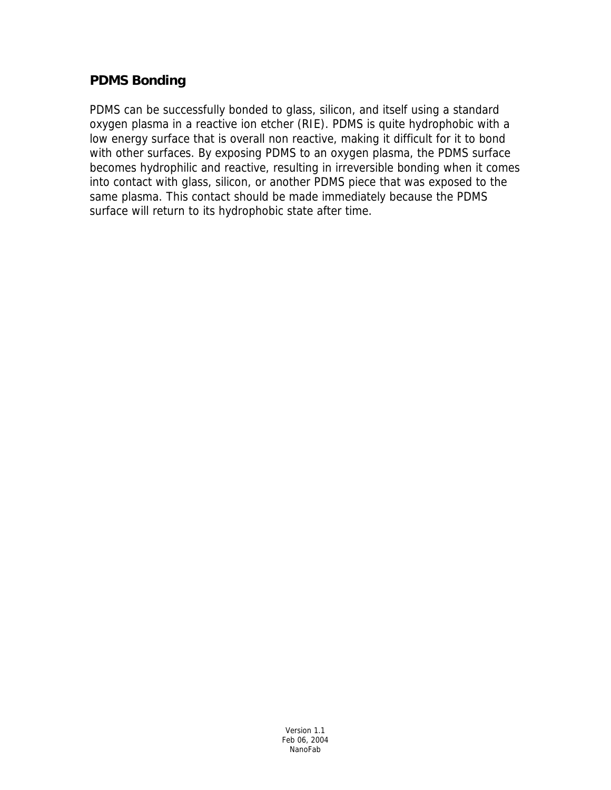#### **PDMS Bonding**

PDMS can be successfully bonded to glass, silicon, and itself using a standard oxygen plasma in a reactive ion etcher (RIE). PDMS is quite hydrophobic with a low energy surface that is overall non reactive, making it difficult for it to bond with other surfaces. By exposing PDMS to an oxygen plasma, the PDMS surface becomes hydrophilic and reactive, resulting in irreversible bonding when it comes into contact with glass, silicon, or another PDMS piece that was exposed to the same plasma. This contact should be made immediately because the PDMS surface will return to its hydrophobic state after time.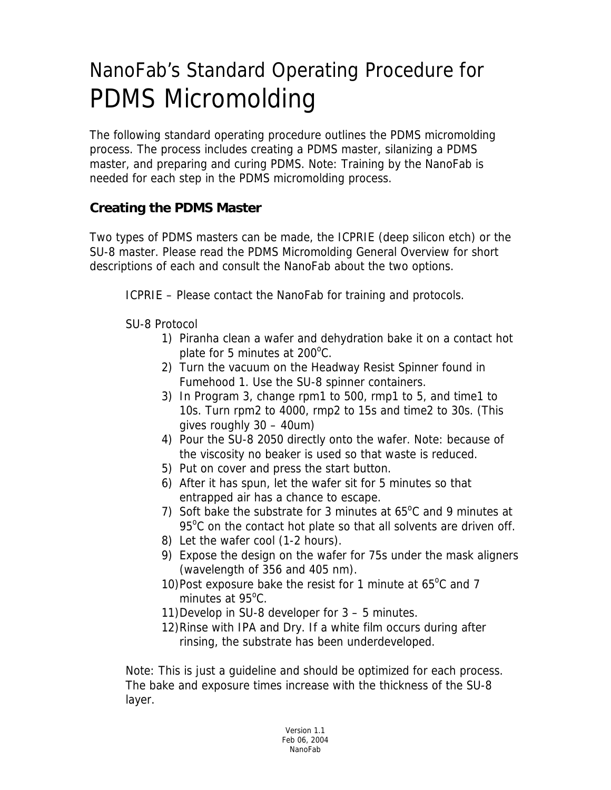# NanoFab's Standard Operating Procedure for PDMS Micromolding

The following standard operating procedure outlines the PDMS micromolding process. The process includes creating a PDMS master, silanizing a PDMS master, and preparing and curing PDMS. Note: Training by the NanoFab is needed for each step in the PDMS micromolding process.

### **Creating the PDMS Master**

Two types of PDMS masters can be made, the ICPRIE (deep silicon etch) or the SU-8 master. Please read the PDMS Micromolding General Overview for short descriptions of each and consult the NanoFab about the two options.

ICPRIE – Please contact the NanoFab for training and protocols.

SU-8 Protocol

- 1) Piranha clean a wafer and dehydration bake it on a contact hot plate for 5 minutes at 200<sup>o</sup>C.
- 2) Turn the vacuum on the Headway Resist Spinner found in Fumehood 1. Use the SU-8 spinner containers.
- 3) In Program 3, change rpm1 to 500, rmp1 to 5, and time1 to 10s. Turn rpm2 to 4000, rmp2 to 15s and time2 to 30s. (This gives roughly 30 – 40um)
- 4) Pour the SU-8 2050 directly onto the wafer. Note: because of the viscosity no beaker is used so that waste is reduced.
- 5) Put on cover and press the start button.
- 6) After it has spun, let the wafer sit for 5 minutes so that entrapped air has a chance to escape.
- 7) Soft bake the substrate for 3 minutes at  $65^{\circ}$ C and 9 minutes at 95°C on the contact hot plate so that all solvents are driven off.
- 8) Let the wafer cool (1-2 hours).
- 9) Expose the design on the wafer for 75s under the mask aligners (wavelength of 356 and 405 nm).
- 10) Post exposure bake the resist for 1 minute at  $65^{\circ}$ C and 7 minutes at 95°C.
- 11)Develop in SU-8 developer for 3 5 minutes.
- 12)Rinse with IPA and Dry. If a white film occurs during after rinsing, the substrate has been underdeveloped.

Note: This is just a guideline and should be optimized for each process. The bake and exposure times increase with the thickness of the SU-8 layer.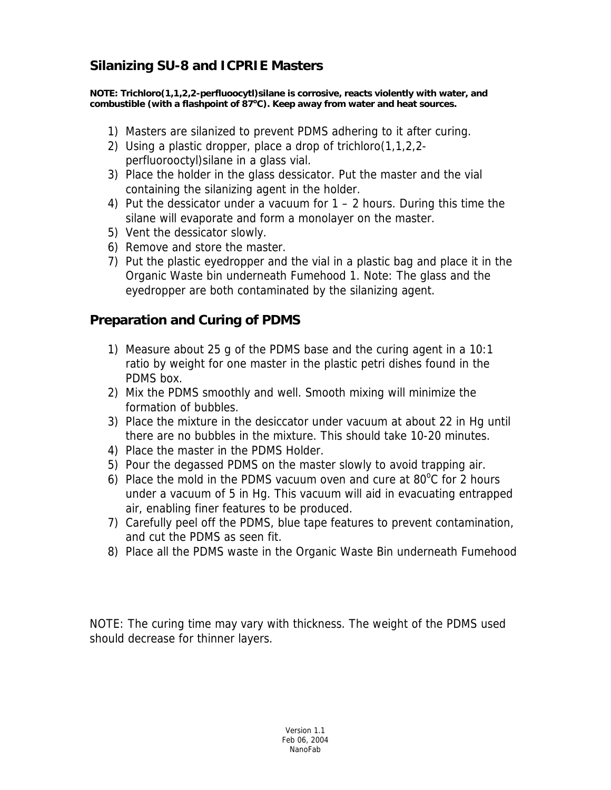### **Silanizing SU-8 and ICPRIE Masters**

**NOTE: Trichloro(1,1,2,2-perfluoocytl)silane is corrosive, reacts violently with water, and**  combustible (with a flashpoint of 87<sup>o</sup>C). Keep away from water and heat sources.

- 1) Masters are silanized to prevent PDMS adhering to it after curing.
- 2) Using a plastic dropper, place a drop of trichloro(1,1,2,2 perfluorooctyl)silane in a glass vial.
- 3) Place the holder in the glass dessicator. Put the master and the vial containing the silanizing agent in the holder.
- 4) Put the dessicator under a vacuum for 1 2 hours. During this time the silane will evaporate and form a monolayer on the master.
- 5) Vent the dessicator slowly.
- 6) Remove and store the master.
- 7) Put the plastic eyedropper and the vial in a plastic bag and place it in the Organic Waste bin underneath Fumehood 1. Note: The glass and the eyedropper are both contaminated by the silanizing agent.

#### **Preparation and Curing of PDMS**

- 1) Measure about 25 g of the PDMS base and the curing agent in a 10:1 ratio by weight for one master in the plastic petri dishes found in the PDMS box.
- 2) Mix the PDMS smoothly and well. Smooth mixing will minimize the formation of bubbles.
- 3) Place the mixture in the desiccator under vacuum at about 22 in Hg until there are no bubbles in the mixture. This should take 10-20 minutes.
- 4) Place the master in the PDMS Holder.
- 5) Pour the degassed PDMS on the master slowly to avoid trapping air.
- 6) Place the mold in the PDMS vacuum oven and cure at  $80^{\circ}$ C for 2 hours under a vacuum of 5 in Hg. This vacuum will aid in evacuating entrapped air, enabling finer features to be produced.
- 7) Carefully peel off the PDMS, blue tape features to prevent contamination, and cut the PDMS as seen fit.
- 8) Place all the PDMS waste in the Organic Waste Bin underneath Fumehood

NOTE: The curing time may vary with thickness. The weight of the PDMS used should decrease for thinner layers.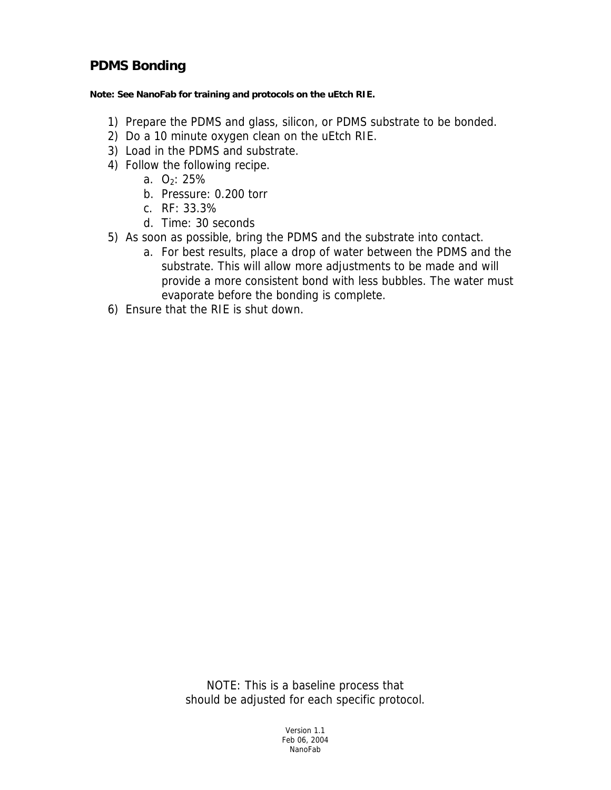#### **PDMS Bonding**

**Note: See NanoFab for training and protocols on the uEtch RIE.** 

- 1) Prepare the PDMS and glass, silicon, or PDMS substrate to be bonded.
- 2) Do a 10 minute oxygen clean on the uEtch RIE.
- 3) Load in the PDMS and substrate.
- 4) Follow the following recipe.
	- a.  $O_2$ : 25%
	- b. Pressure: 0.200 torr
	- c. RF: 33.3%
	- d. Time: 30 seconds
- 5) As soon as possible, bring the PDMS and the substrate into contact.
	- a. For best results, place a drop of water between the PDMS and the substrate. This will allow more adjustments to be made and will provide a more consistent bond with less bubbles. The water must evaporate before the bonding is complete.
- 6) Ensure that the RIE is shut down.

NOTE: This is a baseline process that should be adjusted for each specific protocol.

> Version 1.1 Feb 06, 2004 NanoFab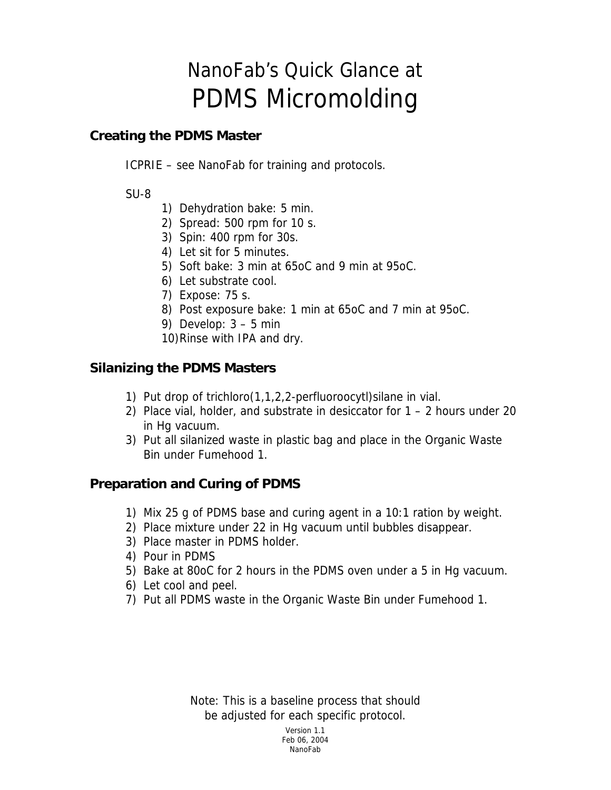# NanoFab's Quick Glance at PDMS Micromolding

#### **Creating the PDMS Master**

ICPRIE – see NanoFab for training and protocols.

#### SU-8

- 1) Dehydration bake: 5 min.
- 2) Spread: 500 rpm for 10 s.
- 3) Spin: 400 rpm for 30s.
- 4) Let sit for 5 minutes.
- 5) Soft bake: 3 min at 65oC and 9 min at 95oC.
- 6) Let substrate cool.
- 7) Expose: 75 s.
- 8) Post exposure bake: 1 min at 65oC and 7 min at 95oC.
- 9) Develop:  $3 5$  min
- 10)Rinse with IPA and dry.

#### **Silanizing the PDMS Masters**

- 1) Put drop of trichloro(1,1,2,2-perfluoroocytl)silane in vial.
- 2) Place vial, holder, and substrate in desiccator for 1 2 hours under 20 in Hg vacuum.
- 3) Put all silanized waste in plastic bag and place in the Organic Waste Bin under Fumehood 1.

#### **Preparation and Curing of PDMS**

- 1) Mix 25 g of PDMS base and curing agent in a 10:1 ration by weight.
- 2) Place mixture under 22 in Hg vacuum until bubbles disappear.
- 3) Place master in PDMS holder.
- 4) Pour in PDMS
- 5) Bake at 80oC for 2 hours in the PDMS oven under a 5 in Hg vacuum.
- 6) Let cool and peel.
- 7) Put all PDMS waste in the Organic Waste Bin under Fumehood 1.

Note: This is a baseline process that should be adjusted for each specific protocol.

Version 1.1 Feb 06, 2004 nano kaominina mpikambana amin'ny fivondronan-kaominin'i Paris-Paul Barana. Ny faritr'i Norma dia kaominin'i P